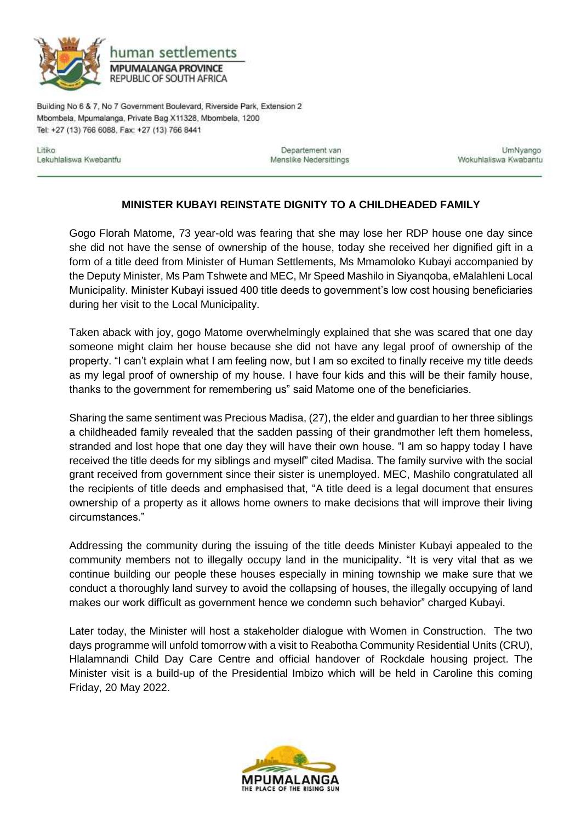

Building No 6 & 7, No 7 Government Boulevard, Riverside Park, Extension 2 Mbombela, Mpumalanga, Private Bag X11328, Mbombela, 1200 Tel: +27 (13) 766 6088, Fax: +27 (13) 766 8441

Litiko Lekuhlaliswa Kwebantfu

Departement van Menslike Nedersittings

UmNyango Wokuhlaliswa Kwabantu

## **MINISTER KUBAYI REINSTATE DIGNITY TO A CHILDHEADED FAMILY**

Gogo Florah Matome, 73 year-old was fearing that she may lose her RDP house one day since she did not have the sense of ownership of the house, today she received her dignified gift in a form of a title deed from Minister of Human Settlements, Ms Mmamoloko Kubayi accompanied by the Deputy Minister, Ms Pam Tshwete and MEC, Mr Speed Mashilo in Siyanqoba, eMalahleni Local Municipality. Minister Kubayi issued 400 title deeds to government's low cost housing beneficiaries during her visit to the Local Municipality.

Taken aback with joy, gogo Matome overwhelmingly explained that she was scared that one day someone might claim her house because she did not have any legal proof of ownership of the property. "I can't explain what I am feeling now, but I am so excited to finally receive my title deeds as my legal proof of ownership of my house. I have four kids and this will be their family house, thanks to the government for remembering us" said Matome one of the beneficiaries.

Sharing the same sentiment was Precious Madisa, (27), the elder and guardian to her three siblings a childheaded family revealed that the sadden passing of their grandmother left them homeless, stranded and lost hope that one day they will have their own house. "I am so happy today I have received the title deeds for my siblings and myself" cited Madisa. The family survive with the social grant received from government since their sister is unemployed. MEC, Mashilo congratulated all the recipients of title deeds and emphasised that, "A title deed is a legal document that ensures ownership of a property as it allows home owners to make decisions that will improve their living circumstances."

Addressing the community during the issuing of the title deeds Minister Kubayi appealed to the community members not to illegally occupy land in the municipality. "It is very vital that as we continue building our people these houses especially in mining township we make sure that we conduct a thoroughly land survey to avoid the collapsing of houses, the illegally occupying of land makes our work difficult as government hence we condemn such behavior" charged Kubayi.

Later today, the Minister will host a stakeholder dialogue with Women in Construction. The two days programme will unfold tomorrow with a visit to Reabotha Community Residential Units (CRU), Hlalamnandi Child Day Care Centre and official handover of Rockdale housing project. The Minister visit is a build-up of the Presidential Imbizo which will be held in Caroline this coming Friday, 20 May 2022.